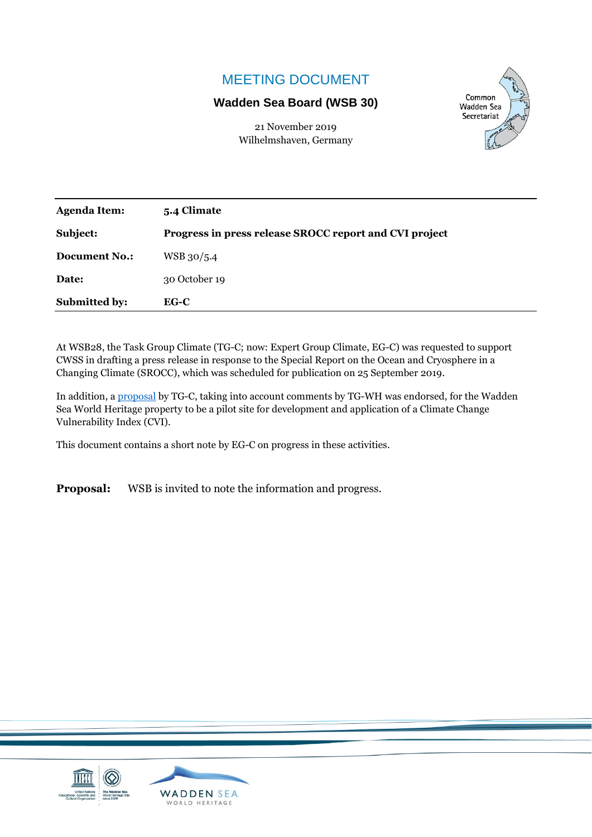## MEETING DOCUMENT

#### **Wadden Sea Board (WSB 30)**

21 November 2019 Wilhelmshaven, Germany



| <b>Agenda Item:</b>  | 5.4 Climate                                            |
|----------------------|--------------------------------------------------------|
| Subject:             | Progress in press release SROCC report and CVI project |
| <b>Document No.:</b> | WSB 30/5.4                                             |
| Date:                | 30 October 19                                          |
| <b>Submitted by:</b> | $EG-C$                                                 |

At WSB28, the Task Group Climate (TG-C; now: Expert Group Climate, EG-C) was requested to support CWSS in drafting a press release in response to the Special Report on the Ocean and Cryosphere in a Changing Climate (SROCC), which was scheduled for publication on 25 September 2019.

In addition, [a proposal](http://www.waddensea-secretariat.org/sites/default/files/Meeting_Documents/WSB/WSB28/wsb-28-5-4-2-cvi_proposal.pdf) by TG-C, taking into account comments by TG-WH was endorsed, for the Wadden Sea World Heritage property to be a pilot site for development and application of a Climate Change Vulnerability Index (CVI).

This document contains a short note by EG-C on progress in these activities.

**Proposal:** WSB is invited to note the information and progress.

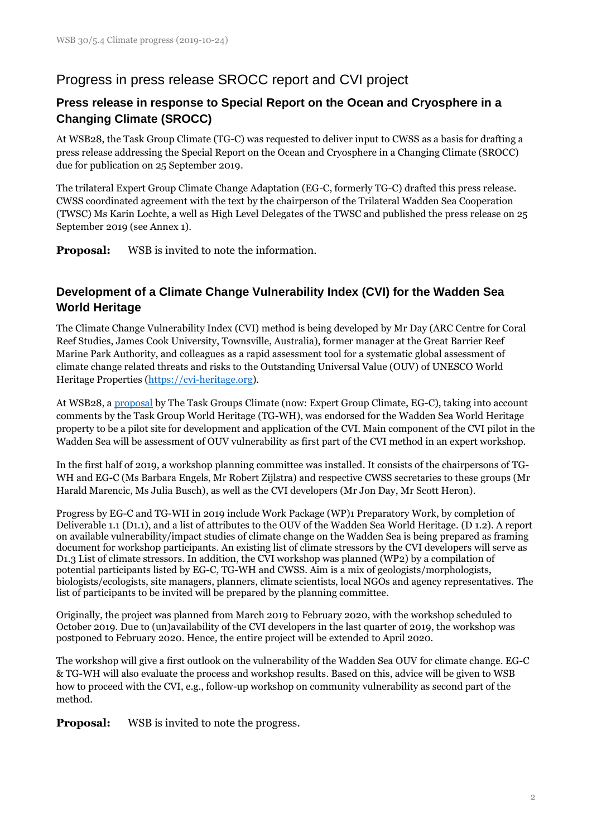## Progress in press release SROCC report and CVI project

#### **Press release in response to Special Report on the Ocean and Cryosphere in a Changing Climate (SROCC)**

At WSB28, the Task Group Climate (TG-C) was requested to deliver input to CWSS as a basis for drafting a press release addressing the Special Report on the Ocean and Cryosphere in a Changing Climate (SROCC) due for publication on 25 September 2019.

The trilateral Expert Group Climate Change Adaptation (EG-C, formerly TG-C) drafted this press release. CWSS coordinated agreement with the text by the chairperson of the Trilateral Wadden Sea Cooperation (TWSC) Ms Karin Lochte, a well as High Level Delegates of the TWSC and published the press release on 25 September 2019 (see Annex 1).

**Proposal:** WSB is invited to note the information.

### **Development of a Climate Change Vulnerability Index (CVI) for the Wadden Sea World Heritage**

The Climate Change Vulnerability Index (CVI) method is being developed by Mr Day (ARC Centre for Coral Reef Studies, James Cook University, Townsville, Australia), former manager at the Great Barrier Reef Marine Park Authority, and colleagues as a rapid assessment tool for a systematic global assessment of climate change related threats and risks to the Outstanding Universal Value (OUV) of UNESCO World Heritage Properties [\(https://cvi-heritage.org\)](https://cvi-heritage.org/).

At WSB28, a [proposal](http://www.waddensea-secretariat.org/sites/default/files/Meeting_Documents/WSB/WSB28/wsb-28-5-4-2-cvi_proposal.pdf) by The Task Groups Climate (now: Expert Group Climate, EG-C), taking into account comments by the Task Group World Heritage (TG-WH), was endorsed for the Wadden Sea World Heritage property to be a pilot site for development and application of the CVI. Main component of the CVI pilot in the Wadden Sea will be assessment of OUV vulnerability as first part of the CVI method in an expert workshop.

In the first half of 2019, a workshop planning committee was installed. It consists of the chairpersons of TG-WH and EG-C (Ms Barbara Engels, Mr Robert Zijlstra) and respective CWSS secretaries to these groups (Mr Harald Marencic, Ms Julia Busch), as well as the CVI developers (Mr Jon Day, Mr Scott Heron).

Progress by EG-C and TG-WH in 2019 include Work Package (WP)1 Preparatory Work, by completion of Deliverable 1.1 (D1.1), and a list of attributes to the OUV of the Wadden Sea World Heritage. (D 1.2). A report on available vulnerability/impact studies of climate change on the Wadden Sea is being prepared as framing document for workshop participants. An existing list of climate stressors by the CVI developers will serve as D1.3 List of climate stressors. In addition, the CVI workshop was planned (WP2) by a compilation of potential participants listed by EG-C, TG-WH and CWSS. Aim is a mix of geologists/morphologists, biologists/ecologists, site managers, planners, climate scientists, local NGOs and agency representatives. The list of participants to be invited will be prepared by the planning committee.

Originally, the project was planned from March 2019 to February 2020, with the workshop scheduled to October 2019. Due to (un)availability of the CVI developers in the last quarter of 2019, the workshop was postponed to February 2020. Hence, the entire project will be extended to April 2020.

The workshop will give a first outlook on the vulnerability of the Wadden Sea OUV for climate change. EG-C & TG-WH will also evaluate the process and workshop results. Based on this, advice will be given to WSB how to proceed with the CVI, e.g., follow-up workshop on community vulnerability as second part of the method.

**Proposal:** WSB is invited to note the progress.